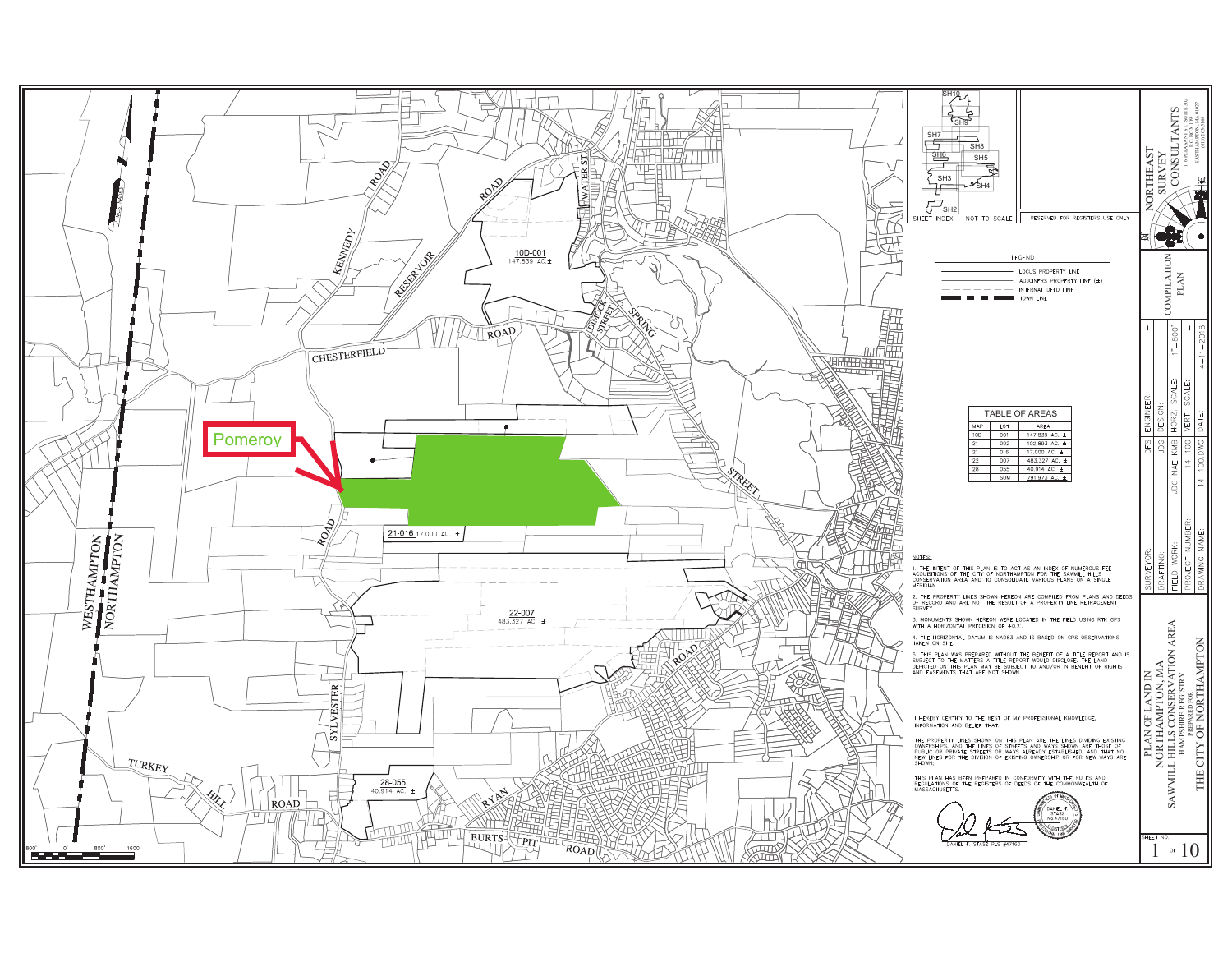